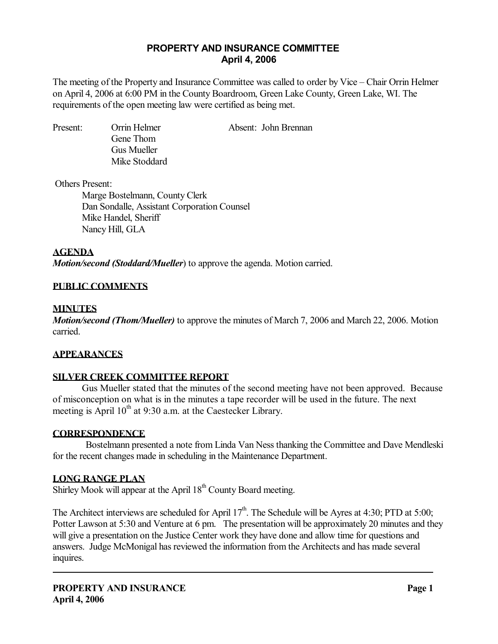## **PROPERTY AND INSURANCE COMMITTEE April 4, 2006**

The meeting of the Property and Insurance Committee was called to order by Vice – Chair Orrin Helmer on April 4, 2006 at 6:00 PM in the County Boardroom, Green Lake County, Green Lake, WI. The requirements of the open meeting law were certified as being met.

 Gene Thom Gus Mueller Mike Stoddard

Present: Orrin Helmer Absent: John Brennan

Others Present:

 Marge Bostelmann, County Clerk Dan Sondalle, Assistant Corporation Counsel Mike Handel, Sheriff Nancy Hill, GLA

**AGENDA**

*Motion/second (Stoddard/Mueller*) to approve the agenda. Motion carried.

## **PUBLIC COMMENTS**

## **MINUTES**

*Motion/second (Thom/Mueller)* to approve the minutes of March 7, 2006 and March 22, 2006. Motion carried.

## **APPEARANCES**

# **SILVER CREEK COMMITTEE REPORT**

 Gus Mueller stated that the minutes of the second meeting have not been approved. Because of misconception on what is in the minutes a tape recorder will be used in the future. The next meeting is April  $10^{th}$  at 9:30 a.m. at the Caestecker Library.

## **CORRESPONDENCE**

 Bostelmann presented a note from Linda Van Ness thanking the Committee and Dave Mendleski for the recent changes made in scheduling in the Maintenance Department.

## **LONG RANGE PLAN**

Shirley Mook will appear at the April  $18<sup>th</sup>$  County Board meeting.

The Architect interviews are scheduled for April  $17<sup>th</sup>$ . The Schedule will be Ayres at 4:30; PTD at 5:00; Potter Lawson at 5:30 and Venture at 6 pm. The presentation will be approximately 20 minutes and they will give a presentation on the Justice Center work they have done and allow time for questions and answers. Judge McMonigal has reviewed the information from the Architects and has made several inquires.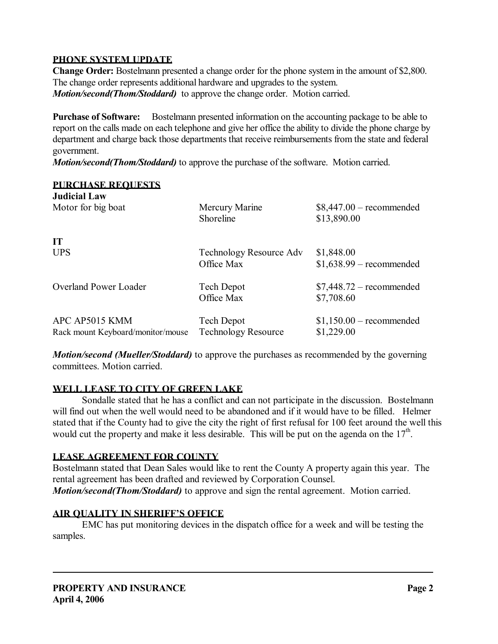#### **PHONE SYSTEM UPDATE**

**Change Order:** Bostelmann presented a change order for the phone system in the amount of \$2,800. The change order represents additional hardware and upgrades to the system. *Motion/second(Thom/Stoddard)* to approve the change order. Motion carried.

**Purchase of Software:** Bostelmann presented information on the accounting package to be able to report on the calls made on each telephone and give her office the ability to divide the phone charge by department and charge back those departments that receive reimbursements from the state and federal government.

*Motion/second(Thom/Stoddard)* to approve the purchase of the software. Motion carried.

# **PURCHASE REQUESTS Judicial Law**  Motor for big boat Mercury Marine \$8,447.00 – recommended Shoreline \$13,890.00 **IT**  UPS Technology Resource Adv \$1,848.00 Office Max  $$1,638.99$  – recommended Overland Power Loader Tech Depot \$7,448.72 – recommended Office Max \$7,708.60 APC AP5015 KMM Tech Depot \$1,150.00 – recommended Rack mount Keyboard/monitor/mouse Technology Resource \$1,229.00

*Motion/second (Mueller/Stoddard)* to approve the purchases as recommended by the governing committees. Motion carried.

## **WELL LEASE TO CITY OF GREEN LAKE**

 Sondalle stated that he has a conflict and can not participate in the discussion. Bostelmann will find out when the well would need to be abandoned and if it would have to be filled. Helmer stated that if the County had to give the city the right of first refusal for 100 feet around the well this would cut the property and make it less desirable. This will be put on the agenda on the  $17<sup>th</sup>$ .

## **LEASE AGREEMENT FOR COUNTY**

Bostelmann stated that Dean Sales would like to rent the County A property again this year. The rental agreement has been drafted and reviewed by Corporation Counsel. *Motion/second(Thom/Stoddard)* to approve and sign the rental agreement. Motion carried.

# **AIR QUALITY IN SHERIFF'S OFFICE**

 EMC has put monitoring devices in the dispatch office for a week and will be testing the samples.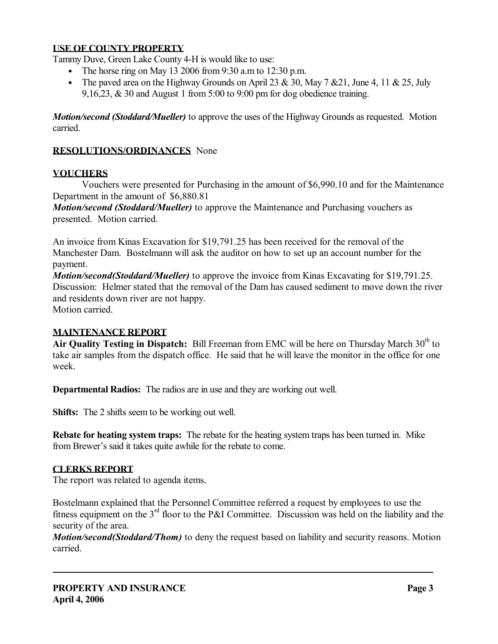## **USE OF COUNTY PROPERTY**

Tammy Duve, Green Lake County 4-H is would like to use:

- The horse ring on May 13 2006 from 9:30 a.m to 12:30 p.m.
- The paved area on the Highway Grounds on April 23 & 30, May 7 & 21, June 4, 11 & 25, July 9,16,23, & 30 and August 1 from 5:00 to 9:00 pm for dog obedience training.

*Motion/second (Stoddard/Mueller)* to approve the uses of the Highway Grounds as requested. Motion carried.

# **RESOLUTIONS/ORDINANCES** None

#### **VOUCHERS**

 Vouchers were presented for Purchasing in the amount of \$6,990.10 and for the Maintenance Department in the amount of \$6,880.81

*Motion/second (Stoddard/Mueller)* to approve the Maintenance and Purchasing vouchers as presented. Motion carried.

An invoice from Kinas Excavation for \$19,791.25 has been received for the removal of the Manchester Dam. Bostelmann will ask the auditor on how to set up an account number for the payment.

*Motion/second(Stoddard/Mueller)* to approve the invoice from Kinas Excavating for \$19,791.25. Discussion: Helmer stated that the removal of the Dam has caused sediment to move down the river and residents down river are not happy. Motion carried.

# **MAINTENANCE REPORT**

Air Quality Testing in Dispatch: Bill Freeman from EMC will be here on Thursday March 30<sup>th</sup> to take air samples from the dispatch office. He said that he will leave the monitor in the office for one week.

**Departmental Radios:** The radios are in use and they are working out well.

**Shifts:** The 2 shifts seem to be working out well.

**Rebate for heating system traps:** The rebate for the heating system traps has been turned in. Mike from Brewer's said it takes quite awhile for the rebate to come.

## **CLERKS REPORT**

The report was related to agenda items.

Bostelmann explained that the Personnel Committee referred a request by employees to use the fitness equipment on the  $3<sup>rd</sup>$  floor to the P&I Committee. Discussion was held on the liability and the security of the area.

*Motion/second(Stoddard/Thom)* to deny the request based on liability and security reasons. Motion carried.